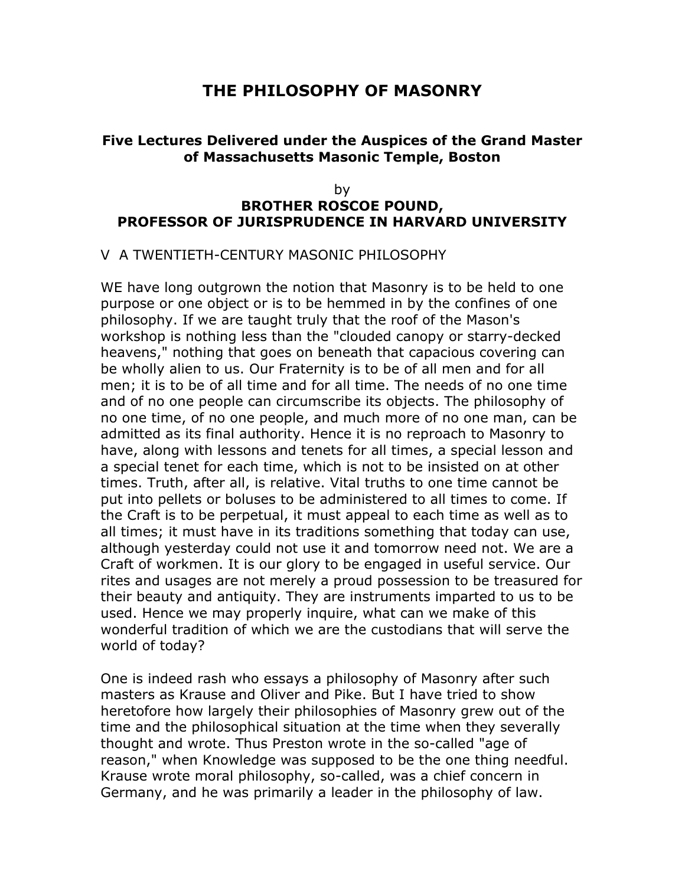## **THE PHILOSOPHY OF MASONRY**

## **Five Lectures Delivered under the Auspices of the Grand Master of Massachusetts Masonic Temple, Boston**

## by **BROTHER ROSCOE POUND, PROFESSOR OF JURISPRUDENCE IN HARVARD UNIVERSITY**

## V A TWENTIETH-CENTURY MASONIC PHILOSOPHY

WE have long outgrown the notion that Masonry is to be held to one purpose or one object or is to be hemmed in by the confines of one philosophy. If we are taught truly that the roof of the Mason's workshop is nothing less than the "clouded canopy or starry-decked heavens," nothing that goes on beneath that capacious covering can be wholly alien to us. Our Fraternity is to be of all men and for all men; it is to be of all time and for all time. The needs of no one time and of no one people can circumscribe its objects. The philosophy of no one time, of no one people, and much more of no one man, can be admitted as its final authority. Hence it is no reproach to Masonry to have, along with lessons and tenets for all times, a special lesson and a special tenet for each time, which is not to be insisted on at other times. Truth, after all, is relative. Vital truths to one time cannot be put into pellets or boluses to be administered to all times to come. If the Craft is to be perpetual, it must appeal to each time as well as to all times; it must have in its traditions something that today can use, although yesterday could not use it and tomorrow need not. We are a Craft of workmen. It is our glory to be engaged in useful service. Our rites and usages are not merely a proud possession to be treasured for their beauty and antiquity. They are instruments imparted to us to be used. Hence we may properly inquire, what can we make of this wonderful tradition of which we are the custodians that will serve the world of today?

One is indeed rash who essays a philosophy of Masonry after such masters as Krause and Oliver and Pike. But I have tried to show heretofore how largely their philosophies of Masonry grew out of the time and the philosophical situation at the time when they severally thought and wrote. Thus Preston wrote in the so-called "age of reason," when Knowledge was supposed to be the one thing needful. Krause wrote moral philosophy, so-called, was a chief concern in Germany, and he was primarily a leader in the philosophy of law.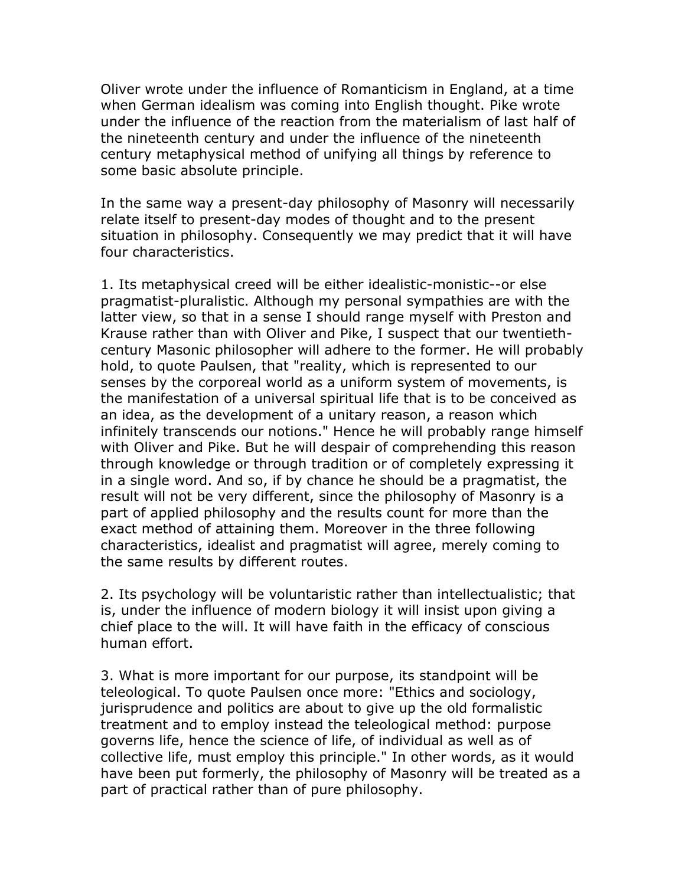Oliver wrote under the influence of Romanticism in England, at a time when German idealism was coming into English thought. Pike wrote under the influence of the reaction from the materialism of last half of the nineteenth century and under the influence of the nineteenth century metaphysical method of unifying all things by reference to some basic absolute principle.

In the same way a present-day philosophy of Masonry will necessarily relate itself to present-day modes of thought and to the present situation in philosophy. Consequently we may predict that it will have four characteristics.

1. Its metaphysical creed will be either idealistic-monistic--or else pragmatist-pluralistic. Although my personal sympathies are with the latter view, so that in a sense I should range myself with Preston and Krause rather than with Oliver and Pike, I suspect that our twentiethcentury Masonic philosopher will adhere to the former. He will probably hold, to quote Paulsen, that "reality, which is represented to our senses by the corporeal world as a uniform system of movements, is the manifestation of a universal spiritual life that is to be conceived as an idea, as the development of a unitary reason, a reason which infinitely transcends our notions." Hence he will probably range himself with Oliver and Pike. But he will despair of comprehending this reason through knowledge or through tradition or of completely expressing it in a single word. And so, if by chance he should be a pragmatist, the result will not be very different, since the philosophy of Masonry is a part of applied philosophy and the results count for more than the exact method of attaining them. Moreover in the three following characteristics, idealist and pragmatist will agree, merely coming to the same results by different routes.

2. Its psychology will be voluntaristic rather than intellectualistic; that is, under the influence of modern biology it will insist upon giving a chief place to the will. It will have faith in the efficacy of conscious human effort.

3. What is more important for our purpose, its standpoint will be teleological. To quote Paulsen once more: "Ethics and sociology, jurisprudence and politics are about to give up the old formalistic treatment and to employ instead the teleological method: purpose governs life, hence the science of life, of individual as well as of collective life, must employ this principle." In other words, as it would have been put formerly, the philosophy of Masonry will be treated as a part of practical rather than of pure philosophy.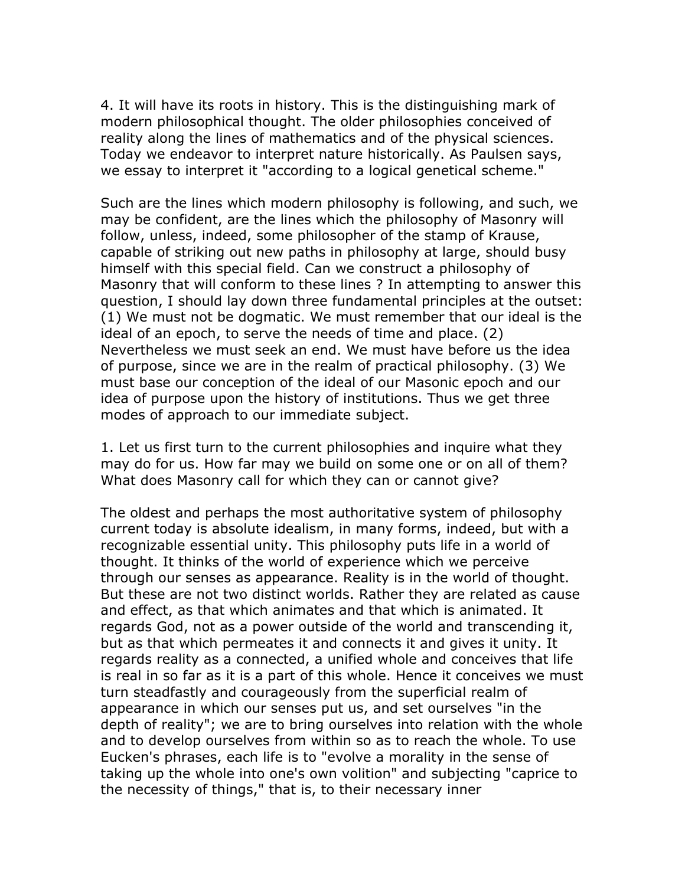4. It will have its roots in history. This is the distinguishing mark of modern philosophical thought. The older philosophies conceived of reality along the lines of mathematics and of the physical sciences. Today we endeavor to interpret nature historically. As Paulsen says, we essay to interpret it "according to a logical genetical scheme."

Such are the lines which modern philosophy is following, and such, we may be confident, are the lines which the philosophy of Masonry will follow, unless, indeed, some philosopher of the stamp of Krause, capable of striking out new paths in philosophy at large, should busy himself with this special field. Can we construct a philosophy of Masonry that will conform to these lines ? In attempting to answer this question, I should lay down three fundamental principles at the outset: (1) We must not be dogmatic. We must remember that our ideal is the ideal of an epoch, to serve the needs of time and place. (2) Nevertheless we must seek an end. We must have before us the idea of purpose, since we are in the realm of practical philosophy. (3) We must base our conception of the ideal of our Masonic epoch and our idea of purpose upon the history of institutions. Thus we get three modes of approach to our immediate subject.

1. Let us first turn to the current philosophies and inquire what they may do for us. How far may we build on some one or on all of them? What does Masonry call for which they can or cannot give?

The oldest and perhaps the most authoritative system of philosophy current today is absolute idealism, in many forms, indeed, but with a recognizable essential unity. This philosophy puts life in a world of thought. It thinks of the world of experience which we perceive through our senses as appearance. Reality is in the world of thought. But these are not two distinct worlds. Rather they are related as cause and effect, as that which animates and that which is animated. It regards God, not as a power outside of the world and transcending it, but as that which permeates it and connects it and gives it unity. It regards reality as a connected, a unified whole and conceives that life is real in so far as it is a part of this whole. Hence it conceives we must turn steadfastly and courageously from the superficial realm of appearance in which our senses put us, and set ourselves "in the depth of reality"; we are to bring ourselves into relation with the whole and to develop ourselves from within so as to reach the whole. To use Eucken's phrases, each life is to "evolve a morality in the sense of taking up the whole into one's own volition" and subjecting "caprice to the necessity of things," that is, to their necessary inner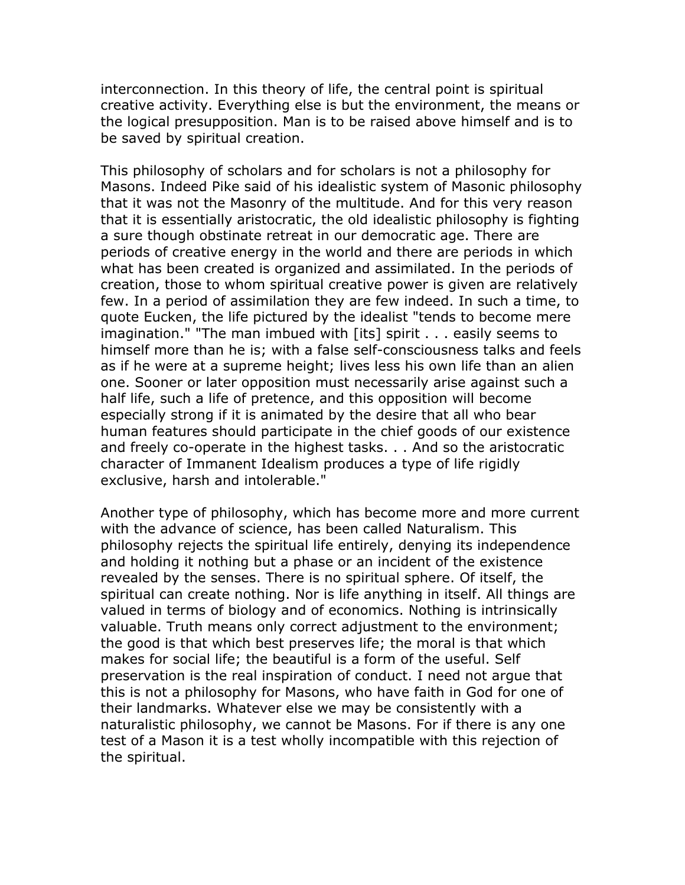interconnection. In this theory of life, the central point is spiritual creative activity. Everything else is but the environment, the means or the logical presupposition. Man is to be raised above himself and is to be saved by spiritual creation.

This philosophy of scholars and for scholars is not a philosophy for Masons. Indeed Pike said of his idealistic system of Masonic philosophy that it was not the Masonry of the multitude. And for this very reason that it is essentially aristocratic, the old idealistic philosophy is fighting a sure though obstinate retreat in our democratic age. There are periods of creative energy in the world and there are periods in which what has been created is organized and assimilated. In the periods of creation, those to whom spiritual creative power is given are relatively few. In a period of assimilation they are few indeed. In such a time, to quote Eucken, the life pictured by the idealist "tends to become mere imagination." "The man imbued with [its] spirit . . . easily seems to himself more than he is; with a false self-consciousness talks and feels as if he were at a supreme height; lives less his own life than an alien one. Sooner or later opposition must necessarily arise against such a half life, such a life of pretence, and this opposition will become especially strong if it is animated by the desire that all who bear human features should participate in the chief goods of our existence and freely co-operate in the highest tasks. . . And so the aristocratic character of Immanent Idealism produces a type of life rigidly exclusive, harsh and intolerable."

Another type of philosophy, which has become more and more current with the advance of science, has been called Naturalism. This philosophy rejects the spiritual life entirely, denying its independence and holding it nothing but a phase or an incident of the existence revealed by the senses. There is no spiritual sphere. Of itself, the spiritual can create nothing. Nor is life anything in itself. All things are valued in terms of biology and of economics. Nothing is intrinsically valuable. Truth means only correct adjustment to the environment; the good is that which best preserves life; the moral is that which makes for social life; the beautiful is a form of the useful. Self preservation is the real inspiration of conduct. I need not argue that this is not a philosophy for Masons, who have faith in God for one of their landmarks. Whatever else we may be consistently with a naturalistic philosophy, we cannot be Masons. For if there is any one test of a Mason it is a test wholly incompatible with this rejection of the spiritual.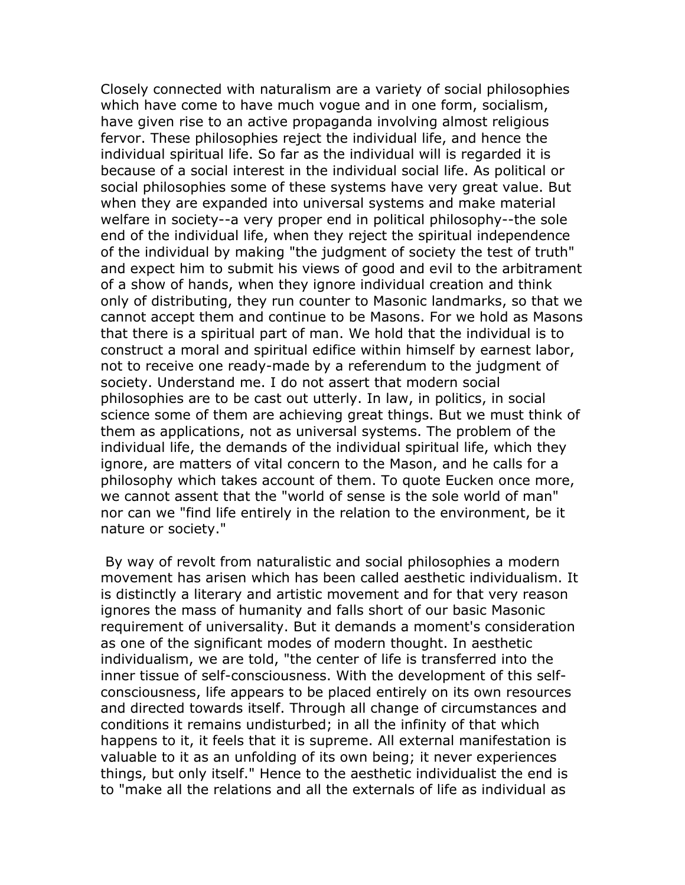Closely connected with naturalism are a variety of social philosophies which have come to have much vogue and in one form, socialism, have given rise to an active propaganda involving almost religious fervor. These philosophies reject the individual life, and hence the individual spiritual life. So far as the individual will is regarded it is because of a social interest in the individual social life. As political or social philosophies some of these systems have very great value. But when they are expanded into universal systems and make material welfare in society--a very proper end in political philosophy--the sole end of the individual life, when they reject the spiritual independence of the individual by making "the judgment of society the test of truth" and expect him to submit his views of good and evil to the arbitrament of a show of hands, when they ignore individual creation and think only of distributing, they run counter to Masonic landmarks, so that we cannot accept them and continue to be Masons. For we hold as Masons that there is a spiritual part of man. We hold that the individual is to construct a moral and spiritual edifice within himself by earnest labor, not to receive one ready-made by a referendum to the judgment of society. Understand me. I do not assert that modern social philosophies are to be cast out utterly. In law, in politics, in social science some of them are achieving great things. But we must think of them as applications, not as universal systems. The problem of the individual life, the demands of the individual spiritual life, which they ignore, are matters of vital concern to the Mason, and he calls for a philosophy which takes account of them. To quote Eucken once more, we cannot assent that the "world of sense is the sole world of man" nor can we "find life entirely in the relation to the environment, be it nature or society."

 By way of revolt from naturalistic and social philosophies a modern movement has arisen which has been called aesthetic individualism. It is distinctly a literary and artistic movement and for that very reason ignores the mass of humanity and falls short of our basic Masonic requirement of universality. But it demands a moment's consideration as one of the significant modes of modern thought. In aesthetic individualism, we are told, "the center of life is transferred into the inner tissue of self-consciousness. With the development of this selfconsciousness, life appears to be placed entirely on its own resources and directed towards itself. Through all change of circumstances and conditions it remains undisturbed; in all the infinity of that which happens to it, it feels that it is supreme. All external manifestation is valuable to it as an unfolding of its own being; it never experiences things, but only itself." Hence to the aesthetic individualist the end is to "make all the relations and all the externals of life as individual as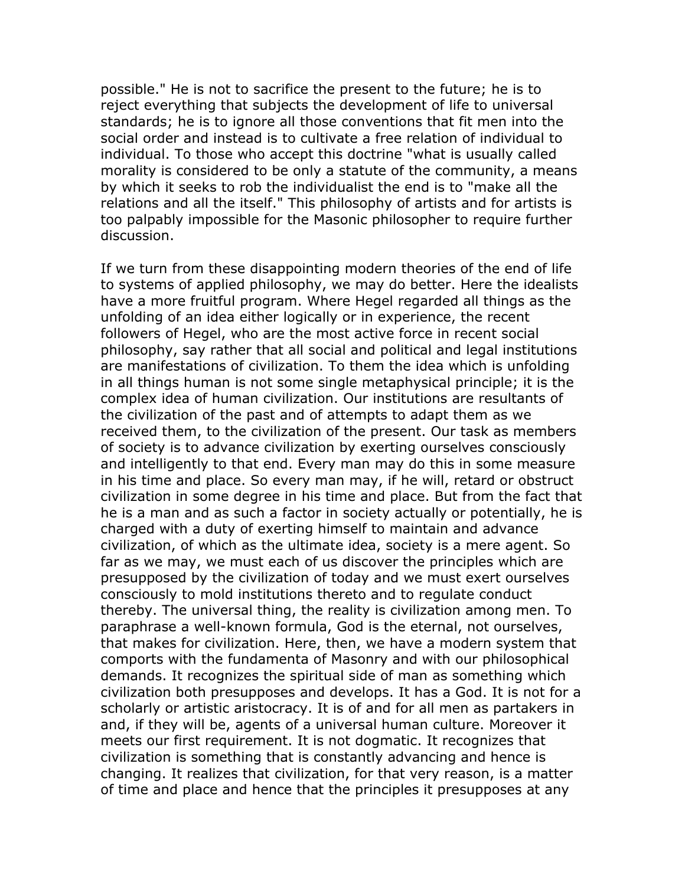possible." He is not to sacrifice the present to the future; he is to reject everything that subjects the development of life to universal standards; he is to ignore all those conventions that fit men into the social order and instead is to cultivate a free relation of individual to individual. To those who accept this doctrine "what is usually called morality is considered to be only a statute of the community, a means by which it seeks to rob the individualist the end is to "make all the relations and all the itself." This philosophy of artists and for artists is too palpably impossible for the Masonic philosopher to require further discussion.

If we turn from these disappointing modern theories of the end of life to systems of applied philosophy, we may do better. Here the idealists have a more fruitful program. Where Hegel regarded all things as the unfolding of an idea either logically or in experience, the recent followers of Hegel, who are the most active force in recent social philosophy, say rather that all social and political and legal institutions are manifestations of civilization. To them the idea which is unfolding in all things human is not some single metaphysical principle; it is the complex idea of human civilization. Our institutions are resultants of the civilization of the past and of attempts to adapt them as we received them, to the civilization of the present. Our task as members of society is to advance civilization by exerting ourselves consciously and intelligently to that end. Every man may do this in some measure in his time and place. So every man may, if he will, retard or obstruct civilization in some degree in his time and place. But from the fact that he is a man and as such a factor in society actually or potentially, he is charged with a duty of exerting himself to maintain and advance civilization, of which as the ultimate idea, society is a mere agent. So far as we may, we must each of us discover the principles which are presupposed by the civilization of today and we must exert ourselves consciously to mold institutions thereto and to regulate conduct thereby. The universal thing, the reality is civilization among men. To paraphrase a well-known formula, God is the eternal, not ourselves, that makes for civilization. Here, then, we have a modern system that comports with the fundamenta of Masonry and with our philosophical demands. It recognizes the spiritual side of man as something which civilization both presupposes and develops. It has a God. It is not for a scholarly or artistic aristocracy. It is of and for all men as partakers in and, if they will be, agents of a universal human culture. Moreover it meets our first requirement. It is not dogmatic. It recognizes that civilization is something that is constantly advancing and hence is changing. It realizes that civilization, for that very reason, is a matter of time and place and hence that the principles it presupposes at any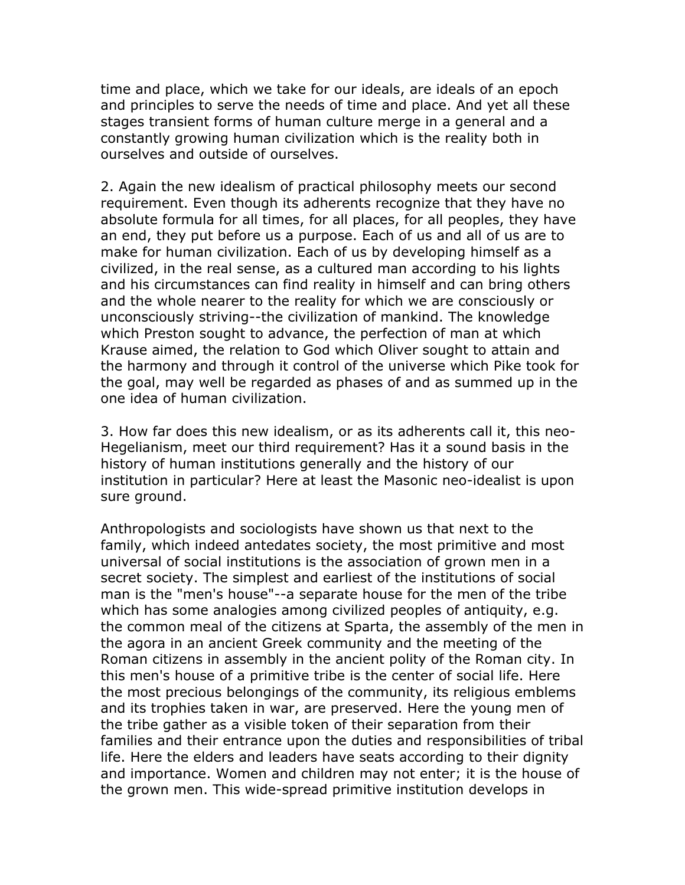time and place, which we take for our ideals, are ideals of an epoch and principles to serve the needs of time and place. And yet all these stages transient forms of human culture merge in a general and a constantly growing human civilization which is the reality both in ourselves and outside of ourselves.

2. Again the new idealism of practical philosophy meets our second requirement. Even though its adherents recognize that they have no absolute formula for all times, for all places, for all peoples, they have an end, they put before us a purpose. Each of us and all of us are to make for human civilization. Each of us by developing himself as a civilized, in the real sense, as a cultured man according to his lights and his circumstances can find reality in himself and can bring others and the whole nearer to the reality for which we are consciously or unconsciously striving--the civilization of mankind. The knowledge which Preston sought to advance, the perfection of man at which Krause aimed, the relation to God which Oliver sought to attain and the harmony and through it control of the universe which Pike took for the goal, may well be regarded as phases of and as summed up in the one idea of human civilization.

3. How far does this new idealism, or as its adherents call it, this neo-Hegelianism, meet our third requirement? Has it a sound basis in the history of human institutions generally and the history of our institution in particular? Here at least the Masonic neo-idealist is upon sure ground.

Anthropologists and sociologists have shown us that next to the family, which indeed antedates society, the most primitive and most universal of social institutions is the association of grown men in a secret society. The simplest and earliest of the institutions of social man is the "men's house"--a separate house for the men of the tribe which has some analogies among civilized peoples of antiquity, e.g. the common meal of the citizens at Sparta, the assembly of the men in the agora in an ancient Greek community and the meeting of the Roman citizens in assembly in the ancient polity of the Roman city. In this men's house of a primitive tribe is the center of social life. Here the most precious belongings of the community, its religious emblems and its trophies taken in war, are preserved. Here the young men of the tribe gather as a visible token of their separation from their families and their entrance upon the duties and responsibilities of tribal life. Here the elders and leaders have seats according to their dignity and importance. Women and children may not enter; it is the house of the grown men. This wide-spread primitive institution develops in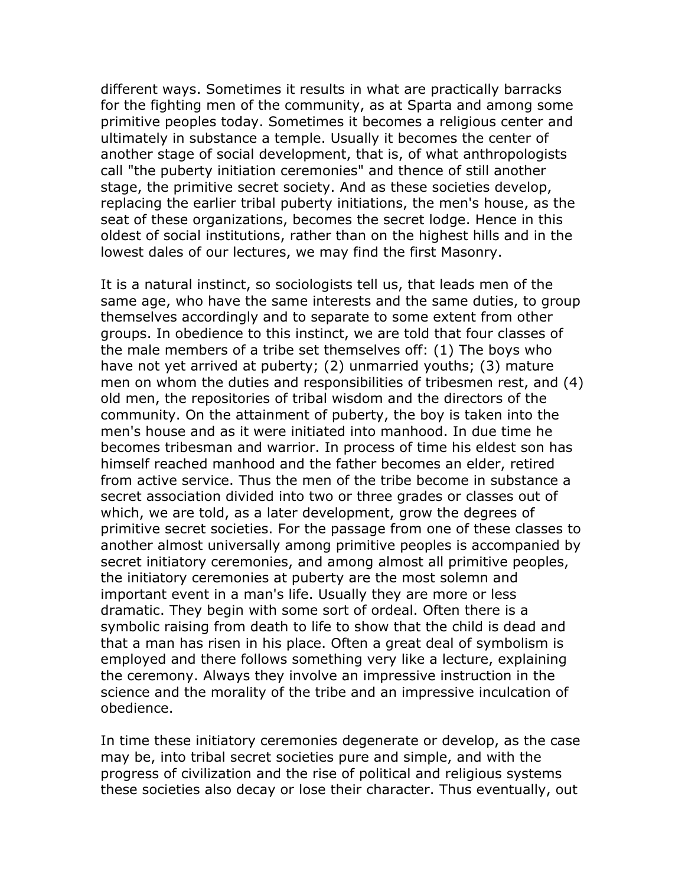different ways. Sometimes it results in what are practically barracks for the fighting men of the community, as at Sparta and among some primitive peoples today. Sometimes it becomes a religious center and ultimately in substance a temple. Usually it becomes the center of another stage of social development, that is, of what anthropologists call "the puberty initiation ceremonies" and thence of still another stage, the primitive secret society. And as these societies develop, replacing the earlier tribal puberty initiations, the men's house, as the seat of these organizations, becomes the secret lodge. Hence in this oldest of social institutions, rather than on the highest hills and in the lowest dales of our lectures, we may find the first Masonry.

It is a natural instinct, so sociologists tell us, that leads men of the same age, who have the same interests and the same duties, to group themselves accordingly and to separate to some extent from other groups. In obedience to this instinct, we are told that four classes of the male members of a tribe set themselves off: (1) The boys who have not yet arrived at puberty; (2) unmarried youths; (3) mature men on whom the duties and responsibilities of tribesmen rest, and (4) old men, the repositories of tribal wisdom and the directors of the community. On the attainment of puberty, the boy is taken into the men's house and as it were initiated into manhood. In due time he becomes tribesman and warrior. In process of time his eldest son has himself reached manhood and the father becomes an elder, retired from active service. Thus the men of the tribe become in substance a secret association divided into two or three grades or classes out of which, we are told, as a later development, grow the degrees of primitive secret societies. For the passage from one of these classes to another almost universally among primitive peoples is accompanied by secret initiatory ceremonies, and among almost all primitive peoples, the initiatory ceremonies at puberty are the most solemn and important event in a man's life. Usually they are more or less dramatic. They begin with some sort of ordeal. Often there is a symbolic raising from death to life to show that the child is dead and that a man has risen in his place. Often a great deal of symbolism is employed and there follows something very like a lecture, explaining the ceremony. Always they involve an impressive instruction in the science and the morality of the tribe and an impressive inculcation of obedience.

In time these initiatory ceremonies degenerate or develop, as the case may be, into tribal secret societies pure and simple, and with the progress of civilization and the rise of political and religious systems these societies also decay or lose their character. Thus eventually, out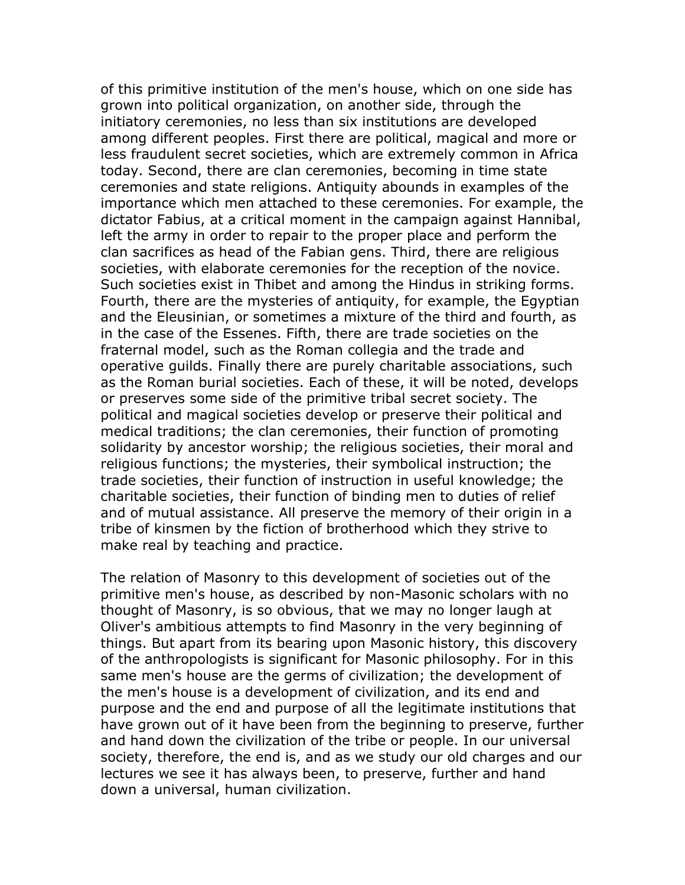of this primitive institution of the men's house, which on one side has grown into political organization, on another side, through the initiatory ceremonies, no less than six institutions are developed among different peoples. First there are political, magical and more or less fraudulent secret societies, which are extremely common in Africa today. Second, there are clan ceremonies, becoming in time state ceremonies and state religions. Antiquity abounds in examples of the importance which men attached to these ceremonies. For example, the dictator Fabius, at a critical moment in the campaign against Hannibal, left the army in order to repair to the proper place and perform the clan sacrifices as head of the Fabian gens. Third, there are religious societies, with elaborate ceremonies for the reception of the novice. Such societies exist in Thibet and among the Hindus in striking forms. Fourth, there are the mysteries of antiquity, for example, the Egyptian and the Eleusinian, or sometimes a mixture of the third and fourth, as in the case of the Essenes. Fifth, there are trade societies on the fraternal model, such as the Roman collegia and the trade and operative guilds. Finally there are purely charitable associations, such as the Roman burial societies. Each of these, it will be noted, develops or preserves some side of the primitive tribal secret society. The political and magical societies develop or preserve their political and medical traditions; the clan ceremonies, their function of promoting solidarity by ancestor worship; the religious societies, their moral and religious functions; the mysteries, their symbolical instruction; the trade societies, their function of instruction in useful knowledge; the charitable societies, their function of binding men to duties of relief and of mutual assistance. All preserve the memory of their origin in a tribe of kinsmen by the fiction of brotherhood which they strive to make real by teaching and practice.

The relation of Masonry to this development of societies out of the primitive men's house, as described by non-Masonic scholars with no thought of Masonry, is so obvious, that we may no longer laugh at Oliver's ambitious attempts to find Masonry in the very beginning of things. But apart from its bearing upon Masonic history, this discovery of the anthropologists is significant for Masonic philosophy. For in this same men's house are the germs of civilization; the development of the men's house is a development of civilization, and its end and purpose and the end and purpose of all the legitimate institutions that have grown out of it have been from the beginning to preserve, further and hand down the civilization of the tribe or people. In our universal society, therefore, the end is, and as we study our old charges and our lectures we see it has always been, to preserve, further and hand down a universal, human civilization.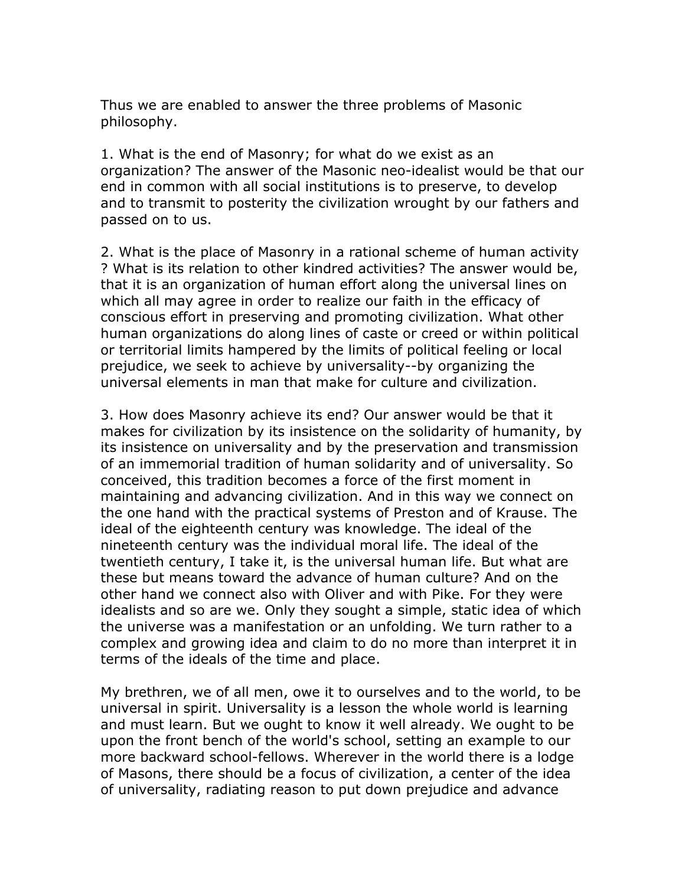Thus we are enabled to answer the three problems of Masonic philosophy.

1. What is the end of Masonry; for what do we exist as an organization? The answer of the Masonic neo-idealist would be that our end in common with all social institutions is to preserve, to develop and to transmit to posterity the civilization wrought by our fathers and passed on to us.

2. What is the place of Masonry in a rational scheme of human activity ? What is its relation to other kindred activities? The answer would be, that it is an organization of human effort along the universal lines on which all may agree in order to realize our faith in the efficacy of conscious effort in preserving and promoting civilization. What other human organizations do along lines of caste or creed or within political or territorial limits hampered by the limits of political feeling or local prejudice, we seek to achieve by universality--by organizing the universal elements in man that make for culture and civilization.

3. How does Masonry achieve its end? Our answer would be that it makes for civilization by its insistence on the solidarity of humanity, by its insistence on universality and by the preservation and transmission of an immemorial tradition of human solidarity and of universality. So conceived, this tradition becomes a force of the first moment in maintaining and advancing civilization. And in this way we connect on the one hand with the practical systems of Preston and of Krause. The ideal of the eighteenth century was knowledge. The ideal of the nineteenth century was the individual moral life. The ideal of the twentieth century, I take it, is the universal human life. But what are these but means toward the advance of human culture? And on the other hand we connect also with Oliver and with Pike. For they were idealists and so are we. Only they sought a simple, static idea of which the universe was a manifestation or an unfolding. We turn rather to a complex and growing idea and claim to do no more than interpret it in terms of the ideals of the time and place.

My brethren, we of all men, owe it to ourselves and to the world, to be universal in spirit. Universality is a lesson the whole world is learning and must learn. But we ought to know it well already. We ought to be upon the front bench of the world's school, setting an example to our more backward school-fellows. Wherever in the world there is a lodge of Masons, there should be a focus of civilization, a center of the idea of universality, radiating reason to put down prejudice and advance